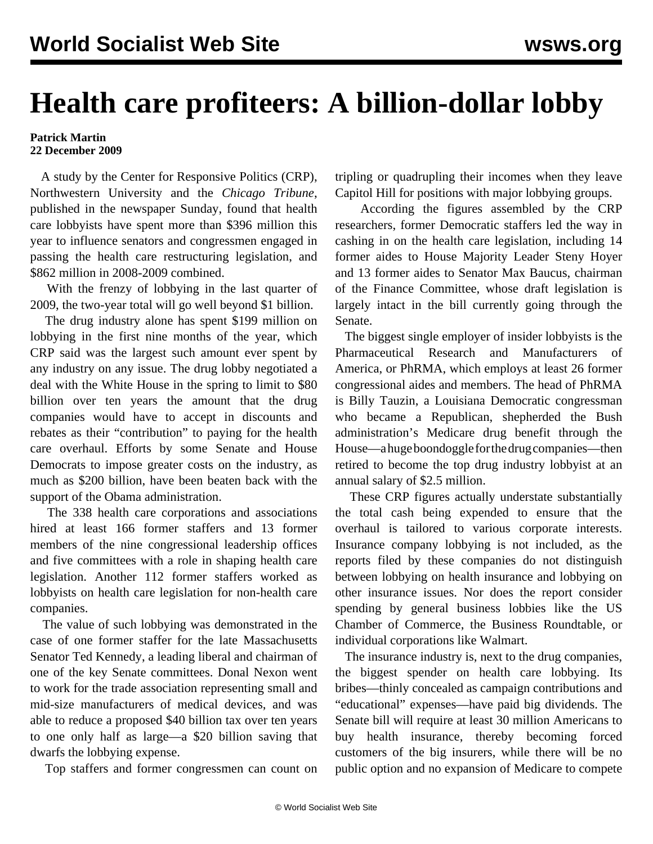## **Health care profiteers: A billion-dollar lobby**

## **Patrick Martin 22 December 2009**

 A study by the Center for Responsive Politics (CRP), Northwestern University and the *Chicago Tribune*, published in the newspaper Sunday, found that health care lobbyists have spent more than \$396 million this year to influence senators and congressmen engaged in passing the health care restructuring legislation, and \$862 million in 2008-2009 combined.

 With the frenzy of lobbying in the last quarter of 2009, the two-year total will go well beyond \$1 billion.

 The drug industry alone has spent \$199 million on lobbying in the first nine months of the year, which CRP said was the largest such amount ever spent by any industry on any issue. The drug lobby negotiated a deal with the White House in the spring to limit to \$80 billion over ten years the amount that the drug companies would have to accept in discounts and rebates as their "contribution" to paying for the health care overhaul. Efforts by some Senate and House Democrats to impose greater costs on the industry, as much as \$200 billion, have been beaten back with the support of the Obama administration.

 The 338 health care corporations and associations hired at least 166 former staffers and 13 former members of the nine congressional leadership offices and five committees with a role in shaping health care legislation. Another 112 former staffers worked as lobbyists on health care legislation for non-health care companies.

 The value of such lobbying was demonstrated in the case of one former staffer for the late Massachusetts Senator Ted Kennedy, a leading liberal and chairman of one of the key Senate committees. Donal Nexon went to work for the trade association representing small and mid-size manufacturers of medical devices, and was able to reduce a proposed \$40 billion tax over ten years to one only half as large—a \$20 billion saving that dwarfs the lobbying expense.

Top staffers and former congressmen can count on

tripling or quadrupling their incomes when they leave Capitol Hill for positions with major lobbying groups.

 According the figures assembled by the CRP researchers, former Democratic staffers led the way in cashing in on the health care legislation, including 14 former aides to House Majority Leader Steny Hoyer and 13 former aides to Senator Max Baucus, chairman of the Finance Committee, whose draft legislation is largely intact in the bill currently going through the Senate.

 The biggest single employer of insider lobbyists is the Pharmaceutical Research and Manufacturers of America, or PhRMA, which employs at least 26 former congressional aides and members. The head of PhRMA is Billy Tauzin, a Louisiana Democratic congressman who became a Republican, shepherded the Bush administration's Medicare drug benefit through the House—a huge boondoggle for the drug companies—then retired to become the top drug industry lobbyist at an annual salary of \$2.5 million.

 These CRP figures actually understate substantially the total cash being expended to ensure that the overhaul is tailored to various corporate interests. Insurance company lobbying is not included, as the reports filed by these companies do not distinguish between lobbying on health insurance and lobbying on other insurance issues. Nor does the report consider spending by general business lobbies like the US Chamber of Commerce, the Business Roundtable, or individual corporations like Walmart.

 The insurance industry is, next to the drug companies, the biggest spender on health care lobbying. Its bribes—thinly concealed as campaign contributions and "educational" expenses—have paid big dividends. The Senate bill will require at least 30 million Americans to buy health insurance, thereby becoming forced customers of the big insurers, while there will be no public option and no expansion of Medicare to compete